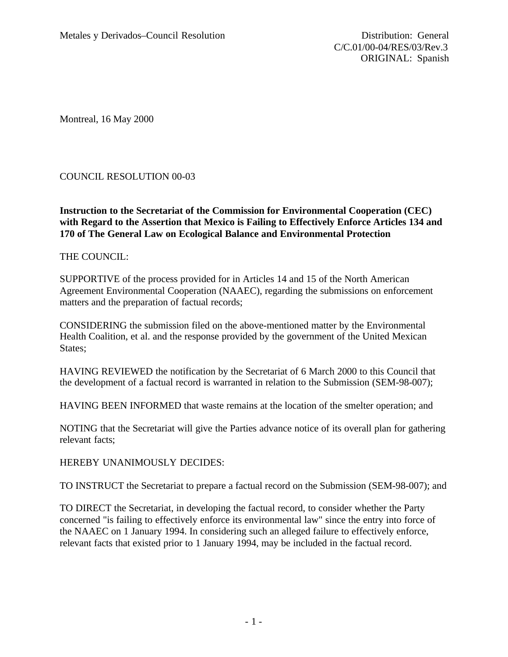Montreal, 16 May 2000

## COUNCIL RESOLUTION 00-03

## **Instruction to the Secretariat of the Commission for Environmental Cooperation (CEC) with Regard to the Assertion that Mexico is Failing to Effectively Enforce Articles 134 and 170 of The General Law on Ecological Balance and Environmental Protection**

## THE COUNCIL:

SUPPORTIVE of the process provided for in Articles 14 and 15 of the North American Agreement Environmental Cooperation (NAAEC), regarding the submissions on enforcement matters and the preparation of factual records;

CONSIDERING the submission filed on the above-mentioned matter by the Environmental Health Coalition, et al. and the response provided by the government of the United Mexican States;

HAVING REVIEWED the notification by the Secretariat of 6 March 2000 to this Council that the development of a factual record is warranted in relation to the Submission (SEM-98-007);

HAVING BEEN INFORMED that waste remains at the location of the smelter operation; and

NOTING that the Secretariat will give the Parties advance notice of its overall plan for gathering relevant facts;

HEREBY UNANIMOUSLY DECIDES:

TO INSTRUCT the Secretariat to prepare a factual record on the Submission (SEM-98-007); and

TO DIRECT the Secretariat, in developing the factual record, to consider whether the Party concerned "is failing to effectively enforce its environmental law" since the entry into force of the NAAEC on 1 January 1994. In considering such an alleged failure to effectively enforce, relevant facts that existed prior to 1 January 1994, may be included in the factual record.